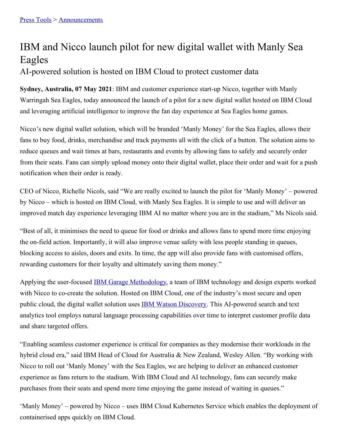## IBM and Nicco launch pilot for new digital wallet with Manly Sea Eagles

AI-powered solution is hosted on IBM Cloud to protect customer data

**Sydney, Australia, 07 May 2021**: IBM and customer experience start-up Nicco, together with Manly Warringah Sea Eagles, today announced the launch of a pilot for a new digital wallet hosted on IBM Cloud and leveraging artificial intelligence to improve the fan day experience at Sea Eagles home games.

Nicco's new digital wallet solution, which will be branded 'Manly Money' for the Sea Eagles, allows their fans to buy food, drinks, merchandise and track payments all with the click of a button. The solution aims to reduce queues and wait times at bars, restaurants and events by allowing fans to safely and securely order from their seats. Fans can simply upload money onto their digital wallet, place their order and wait for a push notification when their order is ready.

CEO of Nicco, Richelle Nicols, said "We are really excited to launch the pilot for 'Manly Money' – powered by Nicco – which is hosted on IBM Cloud, with Manly Sea Eagles. It is simple to use and will deliver an improved match day experience leveraging IBM AI no matter where you are in the stadium," Ms Nicols said.

"Best of all, it minimises the need to queue for food or drinks and allows fans to spend more time enjoying the on-field action. Importantly, it will also improve venue safety with less people standing in queues, blocking access to aisles, doors and exits. In time, the app will also provide fans with customised offers, rewarding customers for their loyalty and ultimately saving them money."

Applying the user-focused IBM Garage [Methodology](https://www.ibm.com/garage), a team of IBM technology and design experts worked with Nicco to co-create the solution. Hosted on IBM Cloud, one of the industry's most secure and open public cloud, the digital wallet solution uses IBM Watson [Discovery](https://www.ibm.com/cloud/watson-discovery). This AI-powered search and text analytics tool employs natural language processing capabilities over time to interpret customer profile data and share targeted offers.

"Enabling seamless customer experience is critical for companies as they modernise their workloads in the hybrid cloud era," said IBM Head of Cloud for Australia & New Zealand, Wesley Allen. "By working with Nicco to roll out 'Manly Money' with the Sea Eagles, we are helping to deliver an enhanced customer experience as fans return to the stadium. With IBM Cloud and AI technology, fans can securely make purchases from their seats and spend more time enjoying the game instead of waiting in queues."

'Manly Money' – powered by Nicco – uses IBM Cloud Kubernetes Service which enables the deployment of containerised apps quickly on IBM Cloud.